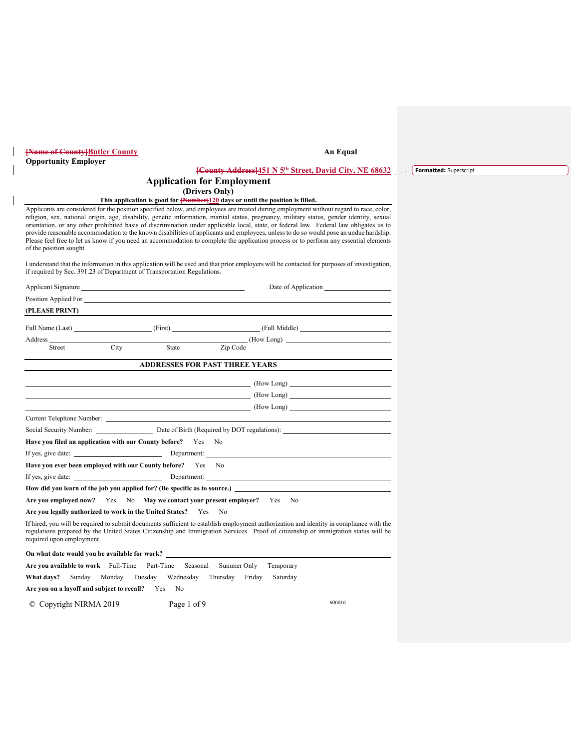| <b>[Name of County] Butler County</b>                                                                                                                                                                                                |                                                                                                                                                                                                                                                                                                                                                                                                                                                                                                                                                                                                                                                                                                                  | An Equal |                        |
|--------------------------------------------------------------------------------------------------------------------------------------------------------------------------------------------------------------------------------------|------------------------------------------------------------------------------------------------------------------------------------------------------------------------------------------------------------------------------------------------------------------------------------------------------------------------------------------------------------------------------------------------------------------------------------------------------------------------------------------------------------------------------------------------------------------------------------------------------------------------------------------------------------------------------------------------------------------|----------|------------------------|
| <b>Opportunity Employer</b>                                                                                                                                                                                                          | <b>[County Address] 451 N 5th Street, David City, NE 68632</b>                                                                                                                                                                                                                                                                                                                                                                                                                                                                                                                                                                                                                                                   |          | Formatted: Superscript |
|                                                                                                                                                                                                                                      | <b>Application for Employment</b>                                                                                                                                                                                                                                                                                                                                                                                                                                                                                                                                                                                                                                                                                |          |                        |
|                                                                                                                                                                                                                                      | (Drivers Only)                                                                                                                                                                                                                                                                                                                                                                                                                                                                                                                                                                                                                                                                                                   |          |                        |
|                                                                                                                                                                                                                                      | This application is good for <b>[Number]120</b> days or until the position is filled.                                                                                                                                                                                                                                                                                                                                                                                                                                                                                                                                                                                                                            |          |                        |
| of the position sought.                                                                                                                                                                                                              | Applicants are considered for the position specified below, and employees are treated during employment without regard to race, color,<br>religion, sex, national origin, age, disability, genetic information, marital status, pregnancy, military status, gender identity, sexual<br>orientation, or any other prohibited basis of discrimination under applicable local, state, or federal law. Federal law obligates us to<br>provide reasonable accommodation to the known disabilities of applicants and employees, unless to do so would pose an undue hardship.<br>Please feel free to let us know if you need an accommodation to complete the application process or to perform any essential elements |          |                        |
| if required by Sec. 391.23 of Department of Transportation Regulations.                                                                                                                                                              | I understand that the information in this application will be used and that prior employers will be contacted for purposes of investigation,                                                                                                                                                                                                                                                                                                                                                                                                                                                                                                                                                                     |          |                        |
|                                                                                                                                                                                                                                      | Date of Application                                                                                                                                                                                                                                                                                                                                                                                                                                                                                                                                                                                                                                                                                              |          |                        |
| Position Applied For <b>Contract Contract Contract Contract Contract Contract Contract Contract Contract Contract Contract Contract Contract Contract Contract Contract Contract Contract Contract Contract Contract Contract Co</b> |                                                                                                                                                                                                                                                                                                                                                                                                                                                                                                                                                                                                                                                                                                                  |          |                        |
| (PLEASE PRINT)                                                                                                                                                                                                                       |                                                                                                                                                                                                                                                                                                                                                                                                                                                                                                                                                                                                                                                                                                                  |          |                        |
|                                                                                                                                                                                                                                      | Full Name (Last) [First] [First] [First] [First] [First] [Full Middle]                                                                                                                                                                                                                                                                                                                                                                                                                                                                                                                                                                                                                                           |          |                        |
| Address                                                                                                                                                                                                                              | (How Long)                                                                                                                                                                                                                                                                                                                                                                                                                                                                                                                                                                                                                                                                                                       |          |                        |
| City<br>Street                                                                                                                                                                                                                       | Zip Code<br>State                                                                                                                                                                                                                                                                                                                                                                                                                                                                                                                                                                                                                                                                                                |          |                        |
|                                                                                                                                                                                                                                      | <b>ADDRESSES FOR PAST THREE YEARS</b>                                                                                                                                                                                                                                                                                                                                                                                                                                                                                                                                                                                                                                                                            |          |                        |
|                                                                                                                                                                                                                                      |                                                                                                                                                                                                                                                                                                                                                                                                                                                                                                                                                                                                                                                                                                                  |          |                        |
|                                                                                                                                                                                                                                      | (How Long)                                                                                                                                                                                                                                                                                                                                                                                                                                                                                                                                                                                                                                                                                                       |          |                        |
|                                                                                                                                                                                                                                      | (How Long)                                                                                                                                                                                                                                                                                                                                                                                                                                                                                                                                                                                                                                                                                                       |          |                        |
|                                                                                                                                                                                                                                      | (How Long)                                                                                                                                                                                                                                                                                                                                                                                                                                                                                                                                                                                                                                                                                                       |          |                        |
|                                                                                                                                                                                                                                      |                                                                                                                                                                                                                                                                                                                                                                                                                                                                                                                                                                                                                                                                                                                  |          |                        |
|                                                                                                                                                                                                                                      | Social Security Number: Date of Birth (Required by DOT regulations):                                                                                                                                                                                                                                                                                                                                                                                                                                                                                                                                                                                                                                             |          |                        |
| Have you filed an application with our County before? Yes No                                                                                                                                                                         |                                                                                                                                                                                                                                                                                                                                                                                                                                                                                                                                                                                                                                                                                                                  |          |                        |
|                                                                                                                                                                                                                                      | If yes, give date: Department:                                                                                                                                                                                                                                                                                                                                                                                                                                                                                                                                                                                                                                                                                   |          |                        |
| Have you ever been employed with our County before? Yes No                                                                                                                                                                           |                                                                                                                                                                                                                                                                                                                                                                                                                                                                                                                                                                                                                                                                                                                  |          |                        |
|                                                                                                                                                                                                                                      |                                                                                                                                                                                                                                                                                                                                                                                                                                                                                                                                                                                                                                                                                                                  |          |                        |
|                                                                                                                                                                                                                                      | How did you learn of the job you applied for? (Be specific as to source.)                                                                                                                                                                                                                                                                                                                                                                                                                                                                                                                                                                                                                                        |          |                        |
| Are you employed now? Yes No May we contact your present employer? Yes No                                                                                                                                                            |                                                                                                                                                                                                                                                                                                                                                                                                                                                                                                                                                                                                                                                                                                                  |          |                        |
| Are you legally authorized to work in the United States? Yes No                                                                                                                                                                      |                                                                                                                                                                                                                                                                                                                                                                                                                                                                                                                                                                                                                                                                                                                  |          |                        |
| required upon employment.                                                                                                                                                                                                            | If hired, you will be required to submit documents sufficient to establish employment authorization and identity in compliance with the<br>regulations prepared by the United States Citizenship and Immigration Services. Proof of citizenship or immigration status will be                                                                                                                                                                                                                                                                                                                                                                                                                                    |          |                        |
| On what date would you be available for work?                                                                                                                                                                                        |                                                                                                                                                                                                                                                                                                                                                                                                                                                                                                                                                                                                                                                                                                                  |          |                        |
| Are you available to work Full-Time Part-Time Seasonal Summer Only                                                                                                                                                                   | Temporary                                                                                                                                                                                                                                                                                                                                                                                                                                                                                                                                                                                                                                                                                                        |          |                        |
| What days?<br>Sunday Monday Tuesday                                                                                                                                                                                                  | Wednesday Thursday<br>Friday<br>Saturday                                                                                                                                                                                                                                                                                                                                                                                                                                                                                                                                                                                                                                                                         |          |                        |
| Are you on a layoff and subject to recall? Yes No                                                                                                                                                                                    |                                                                                                                                                                                                                                                                                                                                                                                                                                                                                                                                                                                                                                                                                                                  |          |                        |
| $\circ$ Copyright NIRMA 2019                                                                                                                                                                                                         | Page 1 of 9                                                                                                                                                                                                                                                                                                                                                                                                                                                                                                                                                                                                                                                                                                      | 600016   |                        |

 $\overline{\phantom{a}}$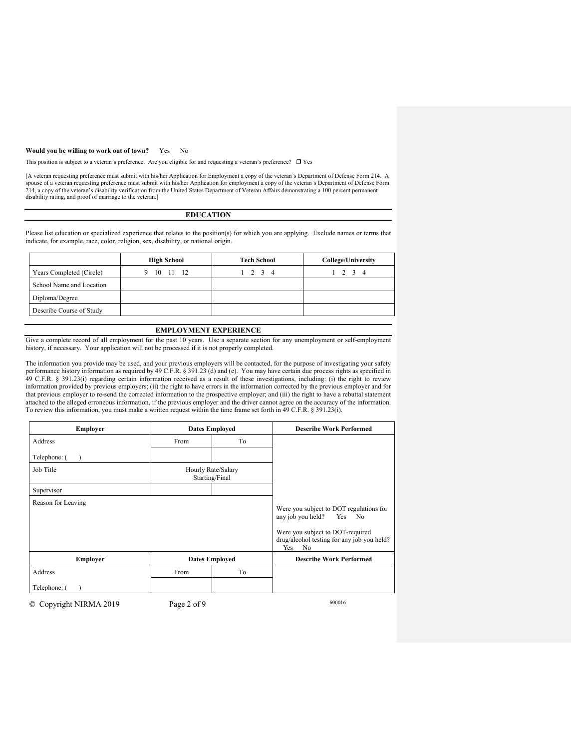### **Would you be willing to work out of town?** Yes No

This position is subject to a veteran's preference. Are you eligible for and requesting a veteran's preference?  $\Box$  Yes

[A veteran requesting preference must submit with his/her Application for Employment a copy of the veteran's Department of Defense Form 214. A spouse of a veteran requesting preference must submit with his/her Application for employment a copy of the veteran's Department of Defense Form<br>214, a copy of the veteran's disability verification from the United States D disability rating, and proof of marriage to the veteran.]

### **EDUCATION**

Please list education or specialized experience that relates to the position(s) for which you are applying. Exclude names or terms that indicate, for example, race, color, religion, sex, disability, or national origin.

|                          | <b>High School</b> | <b>Tech School</b> | College/University |
|--------------------------|--------------------|--------------------|--------------------|
| Years Completed (Circle) | 10<br>11 12        | $1 \t2 \t3 \t4$    | $1 \t2 \t3 \t4$    |
| School Name and Location |                    |                    |                    |
| Diploma/Degree           |                    |                    |                    |
| Describe Course of Study |                    |                    |                    |

## **EMPLOYMENT EXPERIENCE**

Give a complete record of all employment for the past 10 years. Use a separate section for any unemployment or self-employment history, if necessary. Your application will not be processed if it is not properly completed.

The information you provide may be used, and your previous employers will be contacted, for the purpose of investigating your safety performance history information as required by 49 C.F.R. § 391.23 (d) and (e). You may have certain due process rights as specified in 49 C.F.R. § 391.23(i) regarding certain information received as a result of these investigations, including: (i) the right to review information provided by previous employers; (ii) the right to have errors in the information corrected by the previous employer and for that previous employer to re-send the corrected information to the prospective employer; and (iii) the right to have a rebuttal statement attached to the alleged erroneous information, if the previous employer and the driver cannot agree on the accuracy of the information. To review this information, you must make a written request within the time frame set forth in 49 C.F.R. § 391.23(i).

| <b>Employer</b>    | <b>Dates Employed</b>                |    | <b>Describe Work Performed</b>                                                                                                                                           |
|--------------------|--------------------------------------|----|--------------------------------------------------------------------------------------------------------------------------------------------------------------------------|
| Address            | To<br>From                           |    |                                                                                                                                                                          |
| Telephone: (       |                                      |    |                                                                                                                                                                          |
| Job Title          | Hourly Rate/Salary<br>Starting/Final |    |                                                                                                                                                                          |
| Supervisor         |                                      |    |                                                                                                                                                                          |
| Reason for Leaving |                                      |    | Were you subject to DOT regulations for<br>any job you held?<br>Yes<br>No<br>Were you subject to DOT-required<br>drug/alcohol testing for any job you held?<br>Yes<br>No |
| Employer           | <b>Dates Employed</b>                |    | <b>Describe Work Performed</b>                                                                                                                                           |
| Address            | From                                 | To |                                                                                                                                                                          |
| Telephone: (       |                                      |    |                                                                                                                                                                          |

© Copyright NIRMA 2019 Page 2 of 9 600016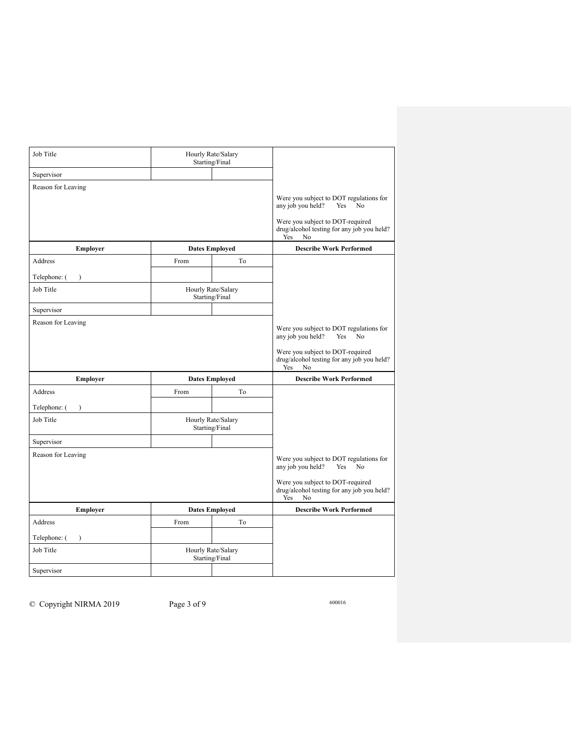| Job Title                 |                                      | Hourly Rate/Salary<br>Starting/Final |                                                                                                                                                                                      |
|---------------------------|--------------------------------------|--------------------------------------|--------------------------------------------------------------------------------------------------------------------------------------------------------------------------------------|
| Supervisor                |                                      |                                      |                                                                                                                                                                                      |
| Reason for Leaving        |                                      |                                      | Were you subject to DOT regulations for<br>any job you held?<br>Yes<br>No<br>Were you subject to DOT-required<br>drug/alcohol testing for any job you held?<br>Yes<br>N <sub>o</sub> |
| <b>Employer</b>           |                                      | <b>Dates Employed</b>                | <b>Describe Work Performed</b>                                                                                                                                                       |
| Address                   | From                                 | To                                   |                                                                                                                                                                                      |
| Telephone: (              |                                      |                                      |                                                                                                                                                                                      |
| Job Title                 |                                      | Hourly Rate/Salary<br>Starting/Final |                                                                                                                                                                                      |
| Supervisor                |                                      |                                      |                                                                                                                                                                                      |
| Reason for Leaving        |                                      |                                      | Were you subject to DOT regulations for<br>any job you held?<br>Yes<br>No                                                                                                            |
|                           |                                      |                                      | Were you subject to DOT-required<br>drug/alcohol testing for any job you held?<br>Yes<br>No                                                                                          |
| Employer                  |                                      | <b>Dates Employed</b>                | <b>Describe Work Performed</b>                                                                                                                                                       |
| Address                   | From                                 | To                                   |                                                                                                                                                                                      |
| Telephone: (<br>$\lambda$ |                                      |                                      |                                                                                                                                                                                      |
| Job Title                 |                                      | Hourly Rate/Salary<br>Starting/Final |                                                                                                                                                                                      |
| Supervisor                |                                      |                                      |                                                                                                                                                                                      |
| Reason for Leaving        |                                      |                                      | Were you subject to DOT regulations for<br>any job you held?<br>Yes<br>No                                                                                                            |
|                           |                                      |                                      | Were you subject to DOT-required<br>drug/alcohol testing for any job you held?<br>Yes<br>No                                                                                          |
| Employer                  |                                      | <b>Dates Employed</b>                | <b>Describe Work Performed</b>                                                                                                                                                       |
| Address                   | From                                 | To                                   |                                                                                                                                                                                      |
| Telephone: (              |                                      |                                      |                                                                                                                                                                                      |
| Job Title                 | Hourly Rate/Salary<br>Starting/Final |                                      |                                                                                                                                                                                      |
| Supervisor                |                                      |                                      |                                                                                                                                                                                      |

© Copyright NIRMA 2019 Page 3 of 9 600016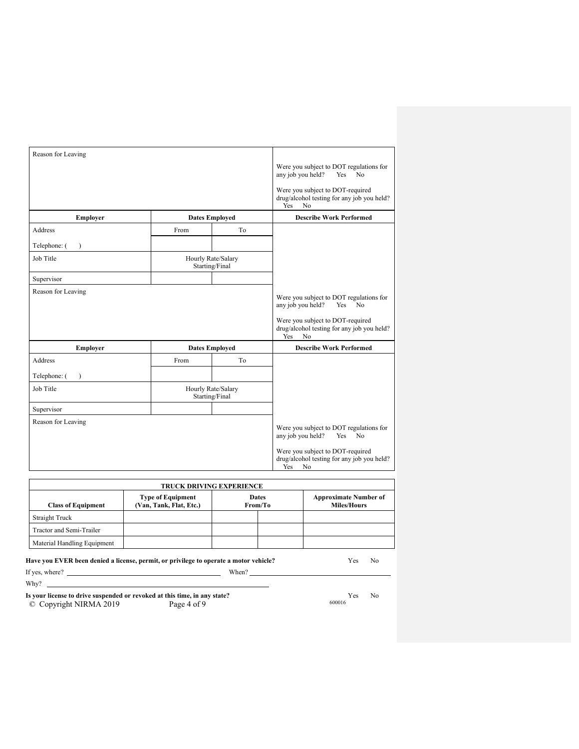| Reason for Leaving |                                      |    |                                                                                                                                                                          |
|--------------------|--------------------------------------|----|--------------------------------------------------------------------------------------------------------------------------------------------------------------------------|
|                    |                                      |    | Were you subject to DOT regulations for<br>any job you held?<br>Yes<br>No                                                                                                |
|                    |                                      |    | Were you subject to DOT-required<br>drug/alcohol testing for any job you held?<br>No<br><b>Yes</b>                                                                       |
| Employer           | <b>Dates Employed</b>                |    | <b>Describe Work Performed</b>                                                                                                                                           |
| Address            | From                                 | To |                                                                                                                                                                          |
| Telephone: (       |                                      |    |                                                                                                                                                                          |
| Job Title          | Hourly Rate/Salary<br>Starting/Final |    |                                                                                                                                                                          |
| Supervisor         |                                      |    |                                                                                                                                                                          |
| Reason for Leaving |                                      |    | Were you subject to DOT regulations for<br>any job you held?<br>Yes<br>No<br>Were you subject to DOT-required<br>drug/alcohol testing for any job you held?<br>Yes<br>No |
| Employer           | <b>Dates Employed</b>                |    | <b>Describe Work Performed</b>                                                                                                                                           |
| Address            | From                                 | To |                                                                                                                                                                          |
| Telephone: (       |                                      |    |                                                                                                                                                                          |
| Job Title          | Hourly Rate/Salary<br>Starting/Final |    |                                                                                                                                                                          |
| Supervisor         |                                      |    |                                                                                                                                                                          |
| Reason for Leaving |                                      |    | Were you subject to DOT regulations for<br>any job you held?<br>No<br>Yes<br>Were you subject to DOT-required<br>drug/alcohol testing for any job you held?<br>Yes<br>No |

| <b>TRUCK DRIVING EXPERIENCE</b>                                                                                                                                   |  |  |  |  |  |  |
|-------------------------------------------------------------------------------------------------------------------------------------------------------------------|--|--|--|--|--|--|
| <b>Approximate Number of</b><br><b>Dates</b><br><b>Type of Equipment</b><br>(Van, Tank, Flat, Etc.)<br><b>Miles/Hours</b><br>From/To<br><b>Class of Equipment</b> |  |  |  |  |  |  |
| Straight Truck                                                                                                                                                    |  |  |  |  |  |  |
| Tractor and Semi-Trailer                                                                                                                                          |  |  |  |  |  |  |
| Material Handling Equipment                                                                                                                                       |  |  |  |  |  |  |

**Have you EVER been denied a license, permit, or privilege to operate a motor vehicle?** Yes No If yes, where? When? Why? \_  $\overline{\phantom{a}}$ 

© Copyright NIRMA 2019 Page 4 of 9 600016 **Is your license to drive suspended or revoked at this time, in any state?** *No**Yes* **No**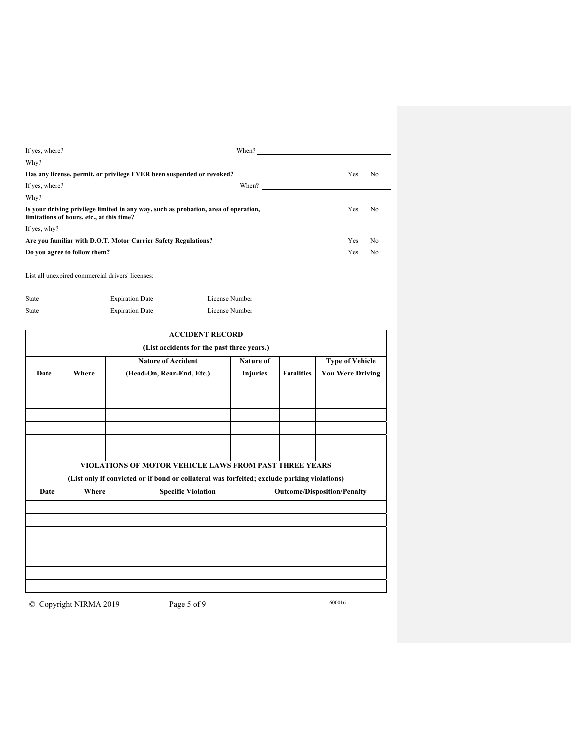| If yes, where?                                                                                                                   | When?                 |     |
|----------------------------------------------------------------------------------------------------------------------------------|-----------------------|-----|
|                                                                                                                                  |                       |     |
| Has any license, permit, or privilege EVER been suspended or revoked?                                                            | Yes                   | No. |
|                                                                                                                                  | When? $\qquad \qquad$ |     |
| Why?                                                                                                                             |                       |     |
| Is your driving privilege limited in any way, such as probation, area of operation,<br>limitations of hours, etc., at this time? | Yes                   | No. |
| If yes, why? $\qquad \qquad$                                                                                                     |                       |     |
| Are you familiar with D.O.T. Motor Carrier Safety Regulations?                                                                   | <b>Yes</b>            | No. |
| Do you agree to follow them?                                                                                                     | <b>Yes</b>            | No  |

List all unexpired commercial drivers' licenses:

| <b>State</b> | <b>Expiration Date</b> | License Number |
|--------------|------------------------|----------------|
| State        | <b>Expiration Date</b> | License Number |

|      |                                                                  | <b>ACCIDENT RECORD</b>                                                                                                                                |                                    |                   |                         |  |  |
|------|------------------------------------------------------------------|-------------------------------------------------------------------------------------------------------------------------------------------------------|------------------------------------|-------------------|-------------------------|--|--|
|      |                                                                  | (List accidents for the past three years.)                                                                                                            |                                    |                   |                         |  |  |
|      | <b>Nature of Accident</b><br>Nature of<br><b>Type of Vehicle</b> |                                                                                                                                                       |                                    |                   |                         |  |  |
| Date | Where                                                            | (Head-On, Rear-End, Etc.)                                                                                                                             | <b>Injuries</b>                    | <b>Fatalities</b> | <b>You Were Driving</b> |  |  |
|      |                                                                  |                                                                                                                                                       |                                    |                   |                         |  |  |
|      |                                                                  |                                                                                                                                                       |                                    |                   |                         |  |  |
|      |                                                                  |                                                                                                                                                       |                                    |                   |                         |  |  |
|      |                                                                  |                                                                                                                                                       |                                    |                   |                         |  |  |
|      |                                                                  |                                                                                                                                                       |                                    |                   |                         |  |  |
|      |                                                                  |                                                                                                                                                       |                                    |                   |                         |  |  |
|      |                                                                  | VIOLATIONS OF MOTOR VEHICLE LAWS FROM PAST THREE YEARS<br>(List only if convicted or if bond or collateral was forfeited; exclude parking violations) |                                    |                   |                         |  |  |
| Date | Where                                                            | <b>Specific Violation</b>                                                                                                                             | <b>Outcome/Disposition/Penalty</b> |                   |                         |  |  |
|      |                                                                  |                                                                                                                                                       |                                    |                   |                         |  |  |
|      |                                                                  |                                                                                                                                                       |                                    |                   |                         |  |  |
|      |                                                                  |                                                                                                                                                       |                                    |                   |                         |  |  |
|      |                                                                  |                                                                                                                                                       |                                    |                   |                         |  |  |
|      |                                                                  |                                                                                                                                                       |                                    |                   |                         |  |  |
|      |                                                                  |                                                                                                                                                       |                                    |                   |                         |  |  |
|      |                                                                  |                                                                                                                                                       |                                    |                   |                         |  |  |

© Copyright NIRMA 2019 Page 5 of 9 600016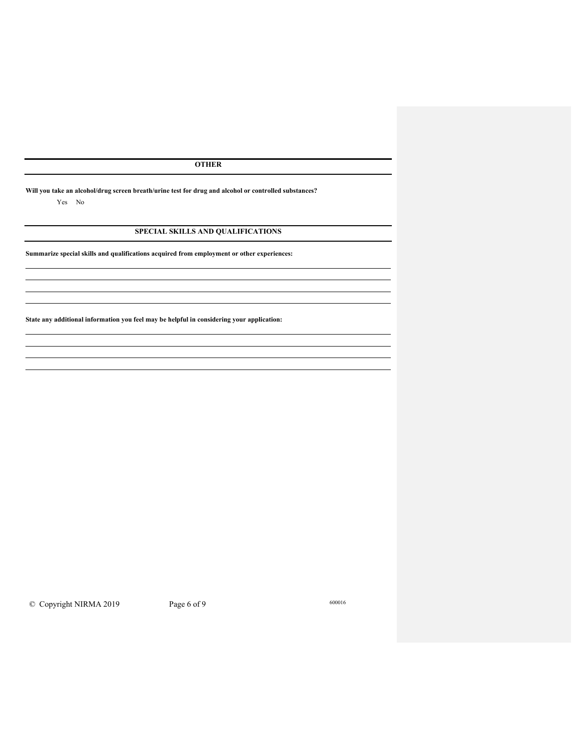**OTHER** 

**Will you take an alcohol/drug screen breath/urine test for drug and alcohol or controlled substances?**

Yes No

 $\overline{a}$ 

 $\overline{a}$ 

# **SPECIAL SKILLS AND QUALIFICATIONS**

**Summarize special skills and qualifications acquired from employment or other experiences:**

**State any additional information you feel may be helpful in considering your application:**

© Copyright NIRMA 2019 Page 6 of 9 600016